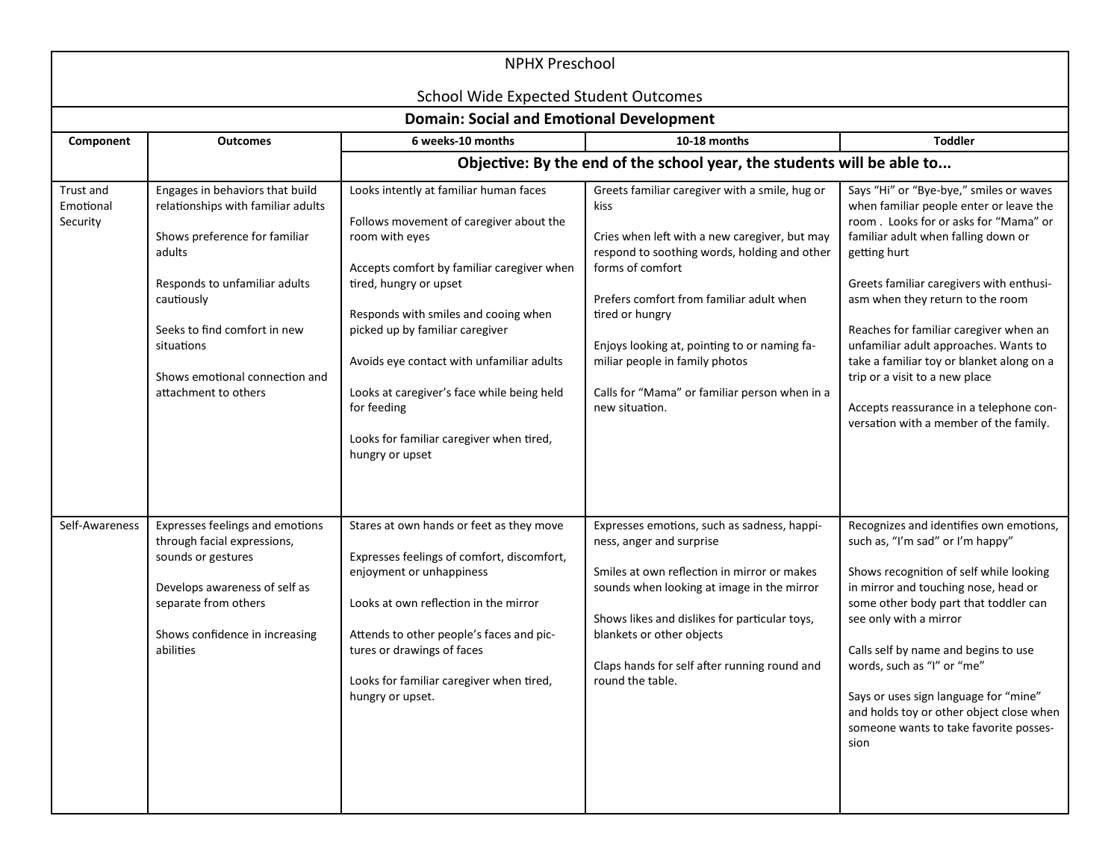|                                    | <b>NPHX Preschool</b><br>School Wide Expected Student Outcomes                                                                                                                                                                                                          |                                                                                                                                                                                                                                                                                                                                                                                                                                 |                                                                                                                                                                                                                                                                                                                                                                                                 |                                                                                                                                                                                                                                                                                                                                                                                                                                                                                                                           |  |
|------------------------------------|-------------------------------------------------------------------------------------------------------------------------------------------------------------------------------------------------------------------------------------------------------------------------|---------------------------------------------------------------------------------------------------------------------------------------------------------------------------------------------------------------------------------------------------------------------------------------------------------------------------------------------------------------------------------------------------------------------------------|-------------------------------------------------------------------------------------------------------------------------------------------------------------------------------------------------------------------------------------------------------------------------------------------------------------------------------------------------------------------------------------------------|---------------------------------------------------------------------------------------------------------------------------------------------------------------------------------------------------------------------------------------------------------------------------------------------------------------------------------------------------------------------------------------------------------------------------------------------------------------------------------------------------------------------------|--|
|                                    |                                                                                                                                                                                                                                                                         | <b>Domain: Social and Emotional Development</b>                                                                                                                                                                                                                                                                                                                                                                                 |                                                                                                                                                                                                                                                                                                                                                                                                 |                                                                                                                                                                                                                                                                                                                                                                                                                                                                                                                           |  |
| Component                          | <b>Outcomes</b>                                                                                                                                                                                                                                                         | 6 weeks-10 months                                                                                                                                                                                                                                                                                                                                                                                                               | 10-18 months                                                                                                                                                                                                                                                                                                                                                                                    | <b>Toddler</b>                                                                                                                                                                                                                                                                                                                                                                                                                                                                                                            |  |
|                                    |                                                                                                                                                                                                                                                                         |                                                                                                                                                                                                                                                                                                                                                                                                                                 | Objective: By the end of the school year, the students will be able to                                                                                                                                                                                                                                                                                                                          |                                                                                                                                                                                                                                                                                                                                                                                                                                                                                                                           |  |
| Trust and<br>Emotional<br>Security | Engages in behaviors that build<br>relationships with familiar adults<br>Shows preference for familiar<br>adults<br>Responds to unfamiliar adults<br>cautiously<br>Seeks to find comfort in new<br>situations<br>Shows emotional connection and<br>attachment to others | Looks intently at familiar human faces<br>Follows movement of caregiver about the<br>room with eyes<br>Accepts comfort by familiar caregiver when<br>tired, hungry or upset<br>Responds with smiles and cooing when<br>picked up by familiar caregiver<br>Avoids eye contact with unfamiliar adults<br>Looks at caregiver's face while being held<br>for feeding<br>Looks for familiar caregiver when tired,<br>hungry or upset | Greets familiar caregiver with a smile, hug or<br>kiss<br>Cries when left with a new caregiver, but may<br>respond to soothing words, holding and other<br>forms of comfort<br>Prefers comfort from familiar adult when<br>tired or hungry<br>Enjoys looking at, pointing to or naming fa-<br>miliar people in family photos<br>Calls for "Mama" or familiar person when in a<br>new situation. | Says "Hi" or "Bye-bye," smiles or waves<br>when familiar people enter or leave the<br>room. Looks for or asks for "Mama" or<br>familiar adult when falling down or<br>getting hurt<br>Greets familiar caregivers with enthusi-<br>asm when they return to the room<br>Reaches for familiar caregiver when an<br>unfamiliar adult approaches. Wants to<br>take a familiar toy or blanket along on a<br>trip or a visit to a new place<br>Accepts reassurance in a telephone con-<br>versation with a member of the family. |  |
| Self-Awareness                     | Expresses feelings and emotions<br>through facial expressions,<br>sounds or gestures<br>Develops awareness of self as<br>separate from others<br>Shows confidence in increasing<br>abilities                                                                            | Stares at own hands or feet as they move<br>Expresses feelings of comfort, discomfort,<br>enjoyment or unhappiness<br>Looks at own reflection in the mirror<br>Attends to other people's faces and pic-<br>tures or drawings of faces<br>Looks for familiar caregiver when tired,<br>hungry or upset.                                                                                                                           | Expresses emotions, such as sadness, happi-<br>ness, anger and surprise<br>Smiles at own reflection in mirror or makes<br>sounds when looking at image in the mirror<br>Shows likes and dislikes for particular toys,<br>blankets or other objects<br>Claps hands for self after running round and<br>round the table.                                                                          | Recognizes and identifies own emotions,<br>such as, "I'm sad" or I'm happy"<br>Shows recognition of self while looking<br>in mirror and touching nose, head or<br>some other body part that toddler can<br>see only with a mirror<br>Calls self by name and begins to use<br>words, such as "I" or "me"<br>Says or uses sign language for "mine"<br>and holds toy or other object close when<br>someone wants to take favorite posses-<br>sion                                                                            |  |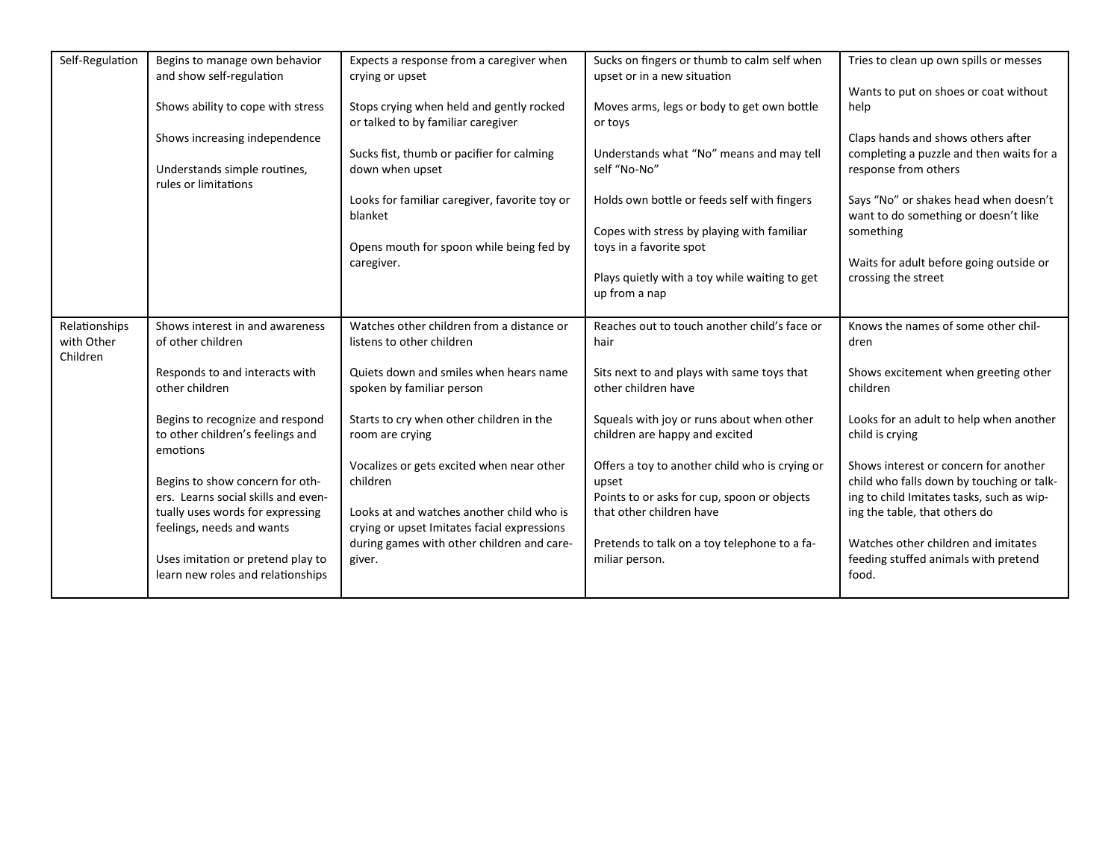| Self-Regulation                         | Begins to manage own behavior<br>and show self-regulation                       | Expects a response from a caregiver when<br>crying or upset                              | Sucks on fingers or thumb to calm self when<br>upset or in a new situation                             | Tries to clean up own spills or messes                                                                                          |
|-----------------------------------------|---------------------------------------------------------------------------------|------------------------------------------------------------------------------------------|--------------------------------------------------------------------------------------------------------|---------------------------------------------------------------------------------------------------------------------------------|
|                                         | Shows ability to cope with stress                                               | Stops crying when held and gently rocked                                                 | Moves arms, legs or body to get own bottle                                                             | Wants to put on shoes or coat without<br>help                                                                                   |
|                                         | Shows increasing independence                                                   | or talked to by familiar caregiver<br>Sucks fist, thumb or pacifier for calming          | or toys<br>Understands what "No" means and may tell                                                    | Claps hands and shows others after<br>completing a puzzle and then waits for a                                                  |
|                                         | Understands simple routines,<br>rules or limitations                            | down when upset                                                                          | self "No-No"                                                                                           | response from others                                                                                                            |
|                                         |                                                                                 | Looks for familiar caregiver, favorite toy or<br>blanket                                 | Holds own bottle or feeds self with fingers                                                            | Says "No" or shakes head when doesn't<br>want to do something or doesn't like                                                   |
|                                         |                                                                                 | Opens mouth for spoon while being fed by                                                 | Copes with stress by playing with familiar<br>toys in a favorite spot                                  | something                                                                                                                       |
|                                         |                                                                                 | caregiver.                                                                               | Plays quietly with a toy while waiting to get<br>up from a nap                                         | Waits for adult before going outside or<br>crossing the street                                                                  |
| Relationships<br>with Other<br>Children | Shows interest in and awareness<br>of other children                            | Watches other children from a distance or<br>listens to other children                   | Reaches out to touch another child's face or<br>hair                                                   | Knows the names of some other chil-<br>dren                                                                                     |
|                                         | Responds to and interacts with<br>other children                                | Quiets down and smiles when hears name<br>spoken by familiar person                      | Sits next to and plays with same toys that<br>other children have                                      | Shows excitement when greeting other<br>children                                                                                |
|                                         | Begins to recognize and respond<br>to other children's feelings and<br>emotions | Starts to cry when other children in the<br>room are crying                              | Squeals with joy or runs about when other<br>children are happy and excited                            | Looks for an adult to help when another<br>child is crying                                                                      |
|                                         | Begins to show concern for oth-<br>ers. Learns social skills and even-          | Vocalizes or gets excited when near other<br>children                                    | Offers a toy to another child who is crying or<br>upset<br>Points to or asks for cup, spoon or objects | Shows interest or concern for another<br>child who falls down by touching or talk-<br>ing to child Imitates tasks, such as wip- |
|                                         | tually uses words for expressing<br>feelings, needs and wants                   | Looks at and watches another child who is<br>crying or upset Imitates facial expressions | that other children have                                                                               | ing the table, that others do                                                                                                   |
|                                         | Uses imitation or pretend play to<br>learn new roles and relationships          | during games with other children and care-<br>giver.                                     | Pretends to talk on a toy telephone to a fa-<br>miliar person.                                         | Watches other children and imitates<br>feeding stuffed animals with pretend<br>food.                                            |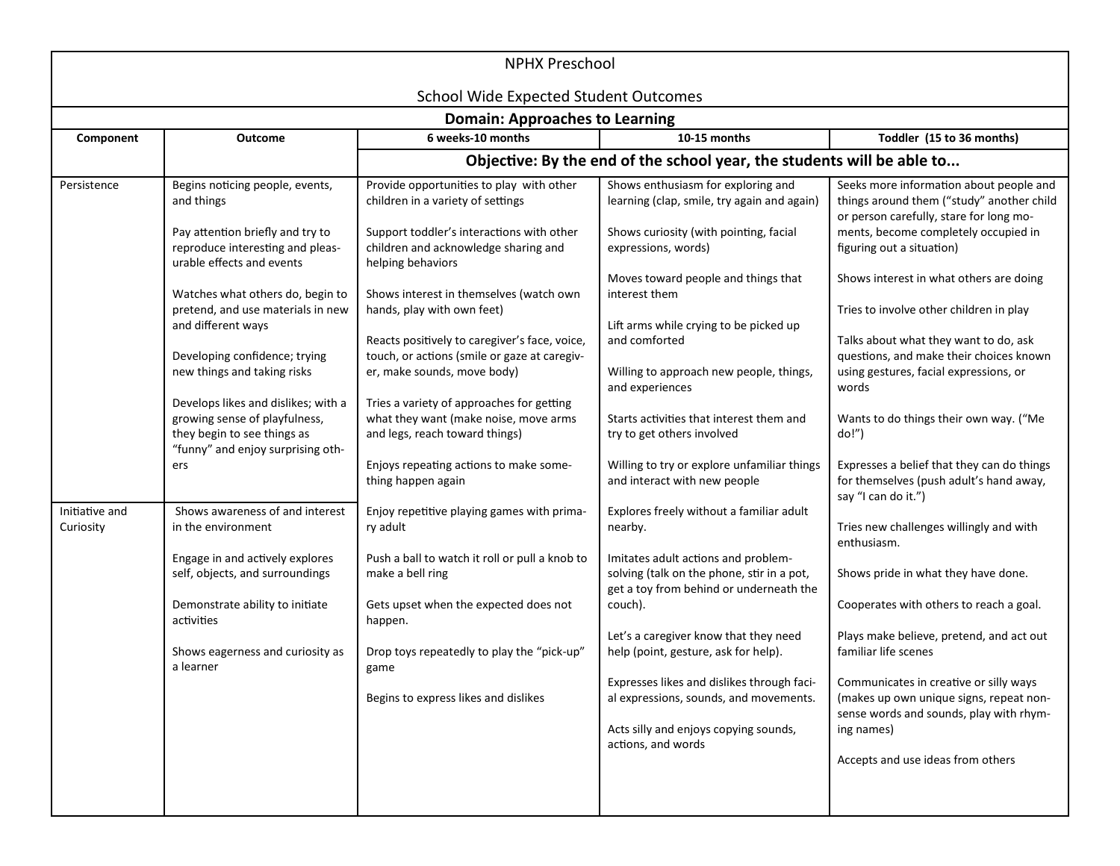| <b>NPHX Preschool</b>                 |                                                                                                                                          |                                                                                                                              |                                                                                                                              |                                                                                                                                     |  |
|---------------------------------------|------------------------------------------------------------------------------------------------------------------------------------------|------------------------------------------------------------------------------------------------------------------------------|------------------------------------------------------------------------------------------------------------------------------|-------------------------------------------------------------------------------------------------------------------------------------|--|
|                                       |                                                                                                                                          | <b>School Wide Expected Student Outcomes</b>                                                                                 |                                                                                                                              |                                                                                                                                     |  |
| <b>Domain: Approaches to Learning</b> |                                                                                                                                          |                                                                                                                              |                                                                                                                              |                                                                                                                                     |  |
| Component                             | Outcome                                                                                                                                  | 6 weeks-10 months                                                                                                            | 10-15 months                                                                                                                 | Toddler (15 to 36 months)                                                                                                           |  |
|                                       |                                                                                                                                          |                                                                                                                              | Objective: By the end of the school year, the students will be able to                                                       |                                                                                                                                     |  |
| Persistence                           | Begins noticing people, events,<br>and things                                                                                            | Provide opportunities to play with other<br>children in a variety of settings                                                | Shows enthusiasm for exploring and<br>learning (clap, smile, try again and again)                                            | Seeks more information about people and<br>things around them ("study" another child<br>or person carefully, stare for long mo-     |  |
|                                       | Pay attention briefly and try to<br>reproduce interesting and pleas-<br>urable effects and events                                        | Support toddler's interactions with other<br>children and acknowledge sharing and<br>helping behaviors                       | Shows curiosity (with pointing, facial<br>expressions, words)                                                                | ments, become completely occupied in<br>figuring out a situation)                                                                   |  |
|                                       | Watches what others do, begin to                                                                                                         | Shows interest in themselves (watch own                                                                                      | Moves toward people and things that<br>interest them                                                                         | Shows interest in what others are doing                                                                                             |  |
|                                       | pretend, and use materials in new<br>and different ways                                                                                  | hands, play with own feet)                                                                                                   | Lift arms while crying to be picked up                                                                                       | Tries to involve other children in play                                                                                             |  |
|                                       | Developing confidence; trying<br>new things and taking risks                                                                             | Reacts positively to caregiver's face, voice,<br>touch, or actions (smile or gaze at caregiv-<br>er, make sounds, move body) | and comforted<br>Willing to approach new people, things,<br>and experiences                                                  | Talks about what they want to do, ask<br>questions, and make their choices known<br>using gestures, facial expressions, or<br>words |  |
|                                       | Develops likes and dislikes; with a<br>growing sense of playfulness,<br>they begin to see things as<br>"funny" and enjoy surprising oth- | Tries a variety of approaches for getting<br>what they want (make noise, move arms<br>and legs, reach toward things)         | Starts activities that interest them and<br>try to get others involved                                                       | Wants to do things their own way. ("Me<br>do!")                                                                                     |  |
|                                       | ers                                                                                                                                      | Enjoys repeating actions to make some-<br>thing happen again                                                                 | Willing to try or explore unfamiliar things<br>and interact with new people                                                  | Expresses a belief that they can do things<br>for themselves (push adult's hand away,<br>say "I can do it.")                        |  |
| Initiative and<br>Curiosity           | Shows awareness of and interest<br>in the environment                                                                                    | Enjoy repetitive playing games with prima-<br>ry adult                                                                       | Explores freely without a familiar adult<br>nearby.                                                                          | Tries new challenges willingly and with<br>enthusiasm.                                                                              |  |
|                                       | Engage in and actively explores<br>self, objects, and surroundings                                                                       | Push a ball to watch it roll or pull a knob to<br>make a bell ring                                                           | Imitates adult actions and problem-<br>solving (talk on the phone, stir in a pot,<br>get a toy from behind or underneath the | Shows pride in what they have done.                                                                                                 |  |
|                                       | Demonstrate ability to initiate<br>activities                                                                                            | Gets upset when the expected does not<br>happen.                                                                             | couch).                                                                                                                      | Cooperates with others to reach a goal.                                                                                             |  |
|                                       | Shows eagerness and curiosity as<br>a learner                                                                                            | Drop toys repeatedly to play the "pick-up"<br>game                                                                           | Let's a caregiver know that they need<br>help (point, gesture, ask for help).                                                | Plays make believe, pretend, and act out<br>familiar life scenes                                                                    |  |
|                                       |                                                                                                                                          | Begins to express likes and dislikes                                                                                         | Expresses likes and dislikes through faci-<br>al expressions, sounds, and movements.                                         | Communicates in creative or silly ways<br>(makes up own unique signs, repeat non-<br>sense words and sounds, play with rhym-        |  |
|                                       |                                                                                                                                          |                                                                                                                              | Acts silly and enjoys copying sounds,<br>actions, and words                                                                  | ing names)                                                                                                                          |  |
|                                       |                                                                                                                                          |                                                                                                                              |                                                                                                                              | Accepts and use ideas from others                                                                                                   |  |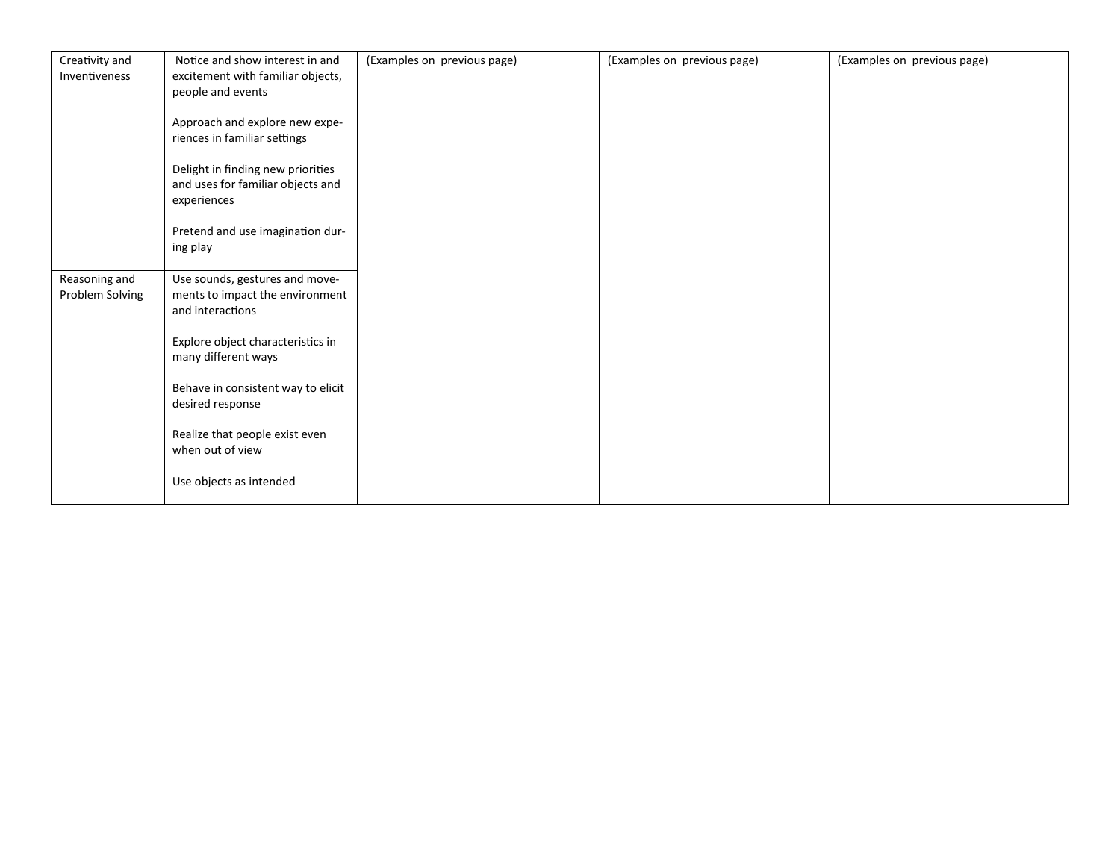| Creativity and<br>Inventiveness  | Notice and show interest in and<br>excitement with familiar objects,<br>people and events | (Examples on previous page) | (Examples on previous page) | (Examples on previous page) |
|----------------------------------|-------------------------------------------------------------------------------------------|-----------------------------|-----------------------------|-----------------------------|
|                                  | Approach and explore new expe-<br>riences in familiar settings                            |                             |                             |                             |
|                                  | Delight in finding new priorities<br>and uses for familiar objects and<br>experiences     |                             |                             |                             |
|                                  | Pretend and use imagination dur-<br>ing play                                              |                             |                             |                             |
| Reasoning and<br>Problem Solving | Use sounds, gestures and move-<br>ments to impact the environment<br>and interactions     |                             |                             |                             |
|                                  | Explore object characteristics in<br>many different ways                                  |                             |                             |                             |
|                                  | Behave in consistent way to elicit<br>desired response                                    |                             |                             |                             |
|                                  | Realize that people exist even<br>when out of view                                        |                             |                             |                             |
|                                  | Use objects as intended                                                                   |                             |                             |                             |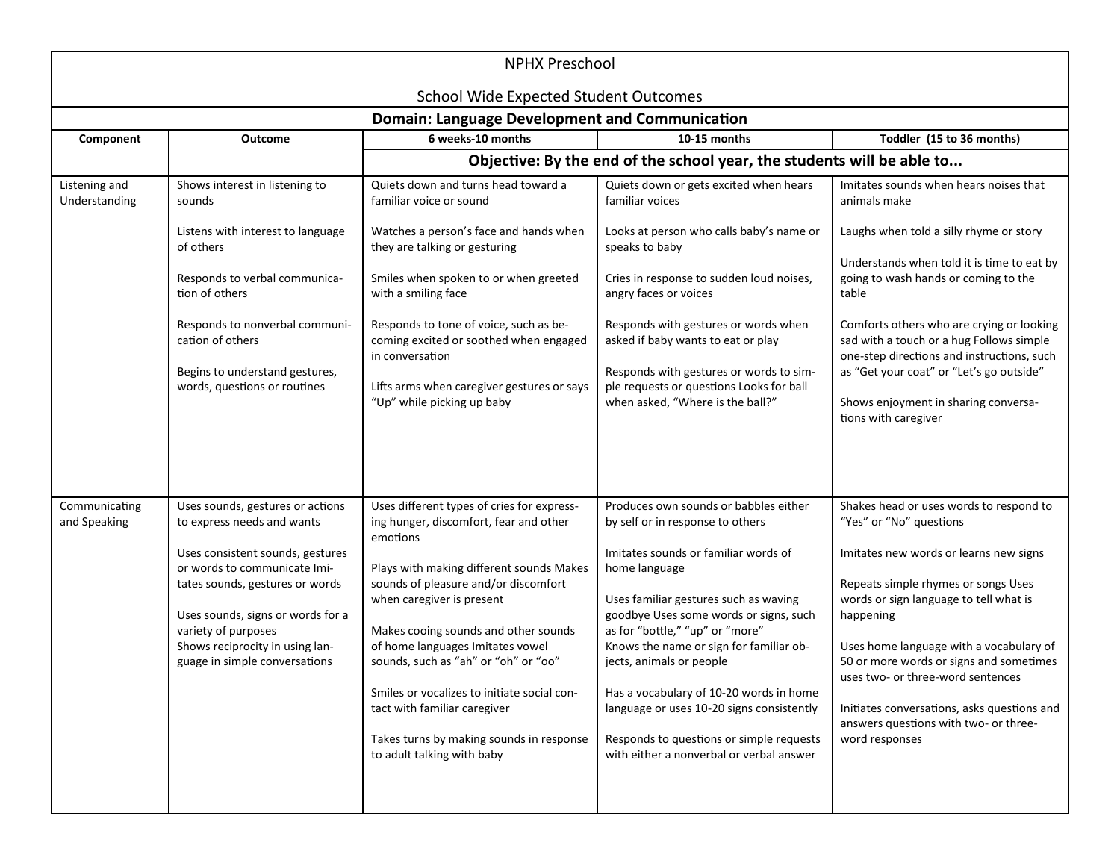| <b>NPHX Preschool</b>          |                                                                                                                                                                                                                                                                                                       |                                                                                                                                                                                                                                                                                                                                                                                                                                                                                                |                                                                                                                                                                                                                                                                                                                                                                                                                                                                                                                 |                                                                                                                                                                                                                                                                                                                                                                                                                                                 |  |  |
|--------------------------------|-------------------------------------------------------------------------------------------------------------------------------------------------------------------------------------------------------------------------------------------------------------------------------------------------------|------------------------------------------------------------------------------------------------------------------------------------------------------------------------------------------------------------------------------------------------------------------------------------------------------------------------------------------------------------------------------------------------------------------------------------------------------------------------------------------------|-----------------------------------------------------------------------------------------------------------------------------------------------------------------------------------------------------------------------------------------------------------------------------------------------------------------------------------------------------------------------------------------------------------------------------------------------------------------------------------------------------------------|-------------------------------------------------------------------------------------------------------------------------------------------------------------------------------------------------------------------------------------------------------------------------------------------------------------------------------------------------------------------------------------------------------------------------------------------------|--|--|
|                                | <b>School Wide Expected Student Outcomes</b><br><b>Domain: Language Development and Communication</b>                                                                                                                                                                                                 |                                                                                                                                                                                                                                                                                                                                                                                                                                                                                                |                                                                                                                                                                                                                                                                                                                                                                                                                                                                                                                 |                                                                                                                                                                                                                                                                                                                                                                                                                                                 |  |  |
| Component                      | <b>Outcome</b>                                                                                                                                                                                                                                                                                        | 6 weeks-10 months                                                                                                                                                                                                                                                                                                                                                                                                                                                                              | 10-15 months                                                                                                                                                                                                                                                                                                                                                                                                                                                                                                    | Toddler (15 to 36 months)                                                                                                                                                                                                                                                                                                                                                                                                                       |  |  |
|                                |                                                                                                                                                                                                                                                                                                       |                                                                                                                                                                                                                                                                                                                                                                                                                                                                                                | Objective: By the end of the school year, the students will be able to                                                                                                                                                                                                                                                                                                                                                                                                                                          |                                                                                                                                                                                                                                                                                                                                                                                                                                                 |  |  |
| Listening and<br>Understanding | Shows interest in listening to<br>sounds                                                                                                                                                                                                                                                              | Quiets down and turns head toward a<br>familiar voice or sound                                                                                                                                                                                                                                                                                                                                                                                                                                 | Quiets down or gets excited when hears<br>familiar voices                                                                                                                                                                                                                                                                                                                                                                                                                                                       | Imitates sounds when hears noises that<br>animals make                                                                                                                                                                                                                                                                                                                                                                                          |  |  |
|                                | Listens with interest to language<br>of others<br>Responds to verbal communica-<br>tion of others<br>Responds to nonverbal communi-<br>cation of others<br>Begins to understand gestures,<br>words, questions or routines                                                                             | Watches a person's face and hands when<br>they are talking or gesturing<br>Smiles when spoken to or when greeted<br>with a smiling face<br>Responds to tone of voice, such as be-<br>coming excited or soothed when engaged<br>in conversation<br>Lifts arms when caregiver gestures or says<br>"Up" while picking up baby                                                                                                                                                                     | Looks at person who calls baby's name or<br>speaks to baby<br>Cries in response to sudden loud noises,<br>angry faces or voices<br>Responds with gestures or words when<br>asked if baby wants to eat or play<br>Responds with gestures or words to sim-<br>ple requests or questions Looks for ball<br>when asked, "Where is the ball?"                                                                                                                                                                        | Laughs when told a silly rhyme or story<br>Understands when told it is time to eat by<br>going to wash hands or coming to the<br>table<br>Comforts others who are crying or looking<br>sad with a touch or a hug Follows simple<br>one-step directions and instructions, such<br>as "Get your coat" or "Let's go outside"<br>Shows enjoyment in sharing conversa-<br>tions with caregiver                                                       |  |  |
| Communicating<br>and Speaking  | Uses sounds, gestures or actions<br>to express needs and wants<br>Uses consistent sounds, gestures<br>or words to communicate Imi-<br>tates sounds, gestures or words<br>Uses sounds, signs or words for a<br>variety of purposes<br>Shows reciprocity in using lan-<br>guage in simple conversations | Uses different types of cries for express-<br>ing hunger, discomfort, fear and other<br>emotions<br>Plays with making different sounds Makes<br>sounds of pleasure and/or discomfort<br>when caregiver is present<br>Makes cooing sounds and other sounds<br>of home languages Imitates vowel<br>sounds, such as "ah" or "oh" or "oo"<br>Smiles or vocalizes to initiate social con-<br>tact with familiar caregiver<br>Takes turns by making sounds in response<br>to adult talking with baby | Produces own sounds or babbles either<br>by self or in response to others<br>Imitates sounds or familiar words of<br>home language<br>Uses familiar gestures such as waving<br>goodbye Uses some words or signs, such<br>as for "bottle," "up" or "more"<br>Knows the name or sign for familiar ob-<br>jects, animals or people<br>Has a vocabulary of 10-20 words in home<br>language or uses 10-20 signs consistently<br>Responds to questions or simple requests<br>with either a nonverbal or verbal answer | Shakes head or uses words to respond to<br>"Yes" or "No" questions<br>Imitates new words or learns new signs<br>Repeats simple rhymes or songs Uses<br>words or sign language to tell what is<br>happening<br>Uses home language with a vocabulary of<br>50 or more words or signs and sometimes<br>uses two- or three-word sentences<br>Initiates conversations, asks questions and<br>answers questions with two- or three-<br>word responses |  |  |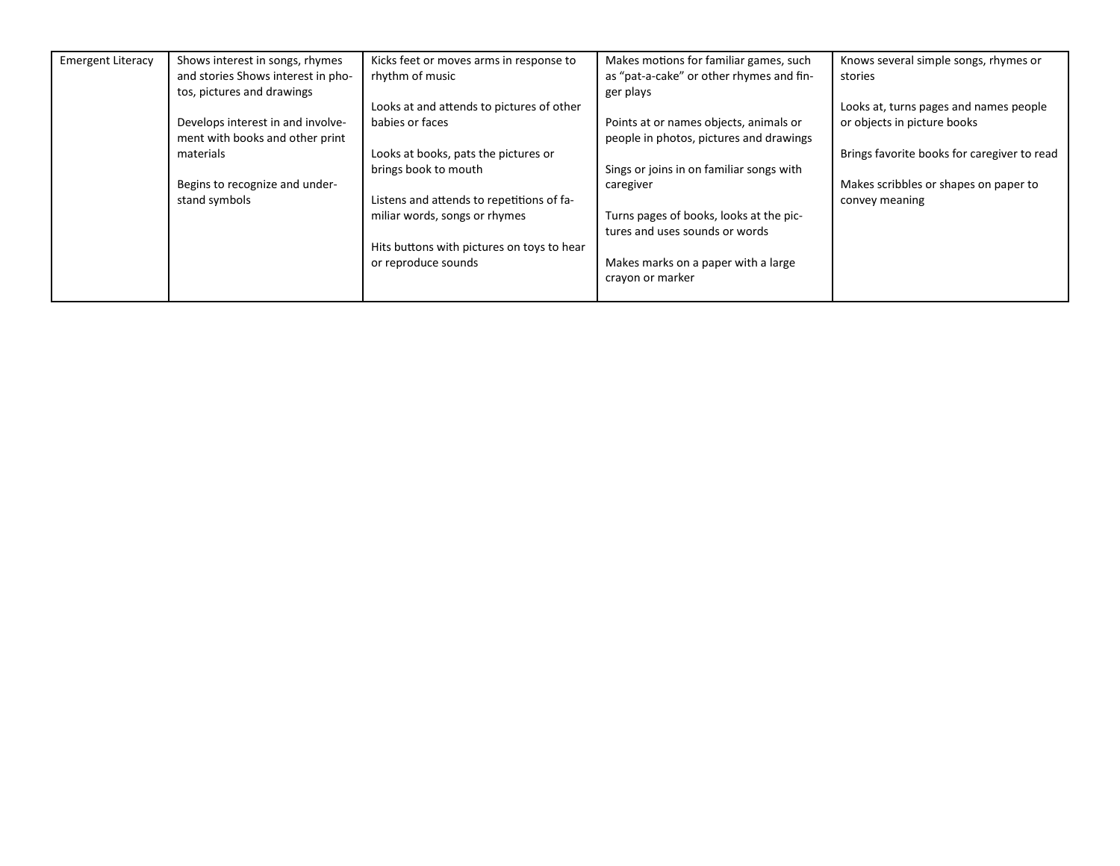| <b>Emergent Literacy</b> | Shows interest in songs, rhymes    | Kicks feet or moves arms in response to    | Makes motions for familiar games, such   | Knows several simple songs, rhymes or       |
|--------------------------|------------------------------------|--------------------------------------------|------------------------------------------|---------------------------------------------|
|                          | and stories Shows interest in pho- | rhythm of music                            | as "pat-a-cake" or other rhymes and fin- | stories                                     |
|                          | tos, pictures and drawings         |                                            | ger plays                                |                                             |
|                          |                                    | Looks at and attends to pictures of other  |                                          | Looks at, turns pages and names people      |
|                          | Develops interest in and involve-  | babies or faces                            | Points at or names objects, animals or   | or objects in picture books                 |
|                          | ment with books and other print    |                                            | people in photos, pictures and drawings  |                                             |
|                          | materials                          | Looks at books, pats the pictures or       |                                          | Brings favorite books for caregiver to read |
|                          |                                    | brings book to mouth                       | Sings or joins in on familiar songs with |                                             |
|                          | Begins to recognize and under-     |                                            | caregiver                                | Makes scribbles or shapes on paper to       |
|                          | stand symbols                      | Listens and attends to repetitions of fa-  |                                          | convey meaning                              |
|                          |                                    | miliar words, songs or rhymes              | Turns pages of books, looks at the pic-  |                                             |
|                          |                                    |                                            | tures and uses sounds or words           |                                             |
|                          |                                    | Hits buttons with pictures on toys to hear |                                          |                                             |
|                          |                                    | or reproduce sounds                        | Makes marks on a paper with a large      |                                             |
|                          |                                    |                                            | crayon or marker                         |                                             |
|                          |                                    |                                            |                                          |                                             |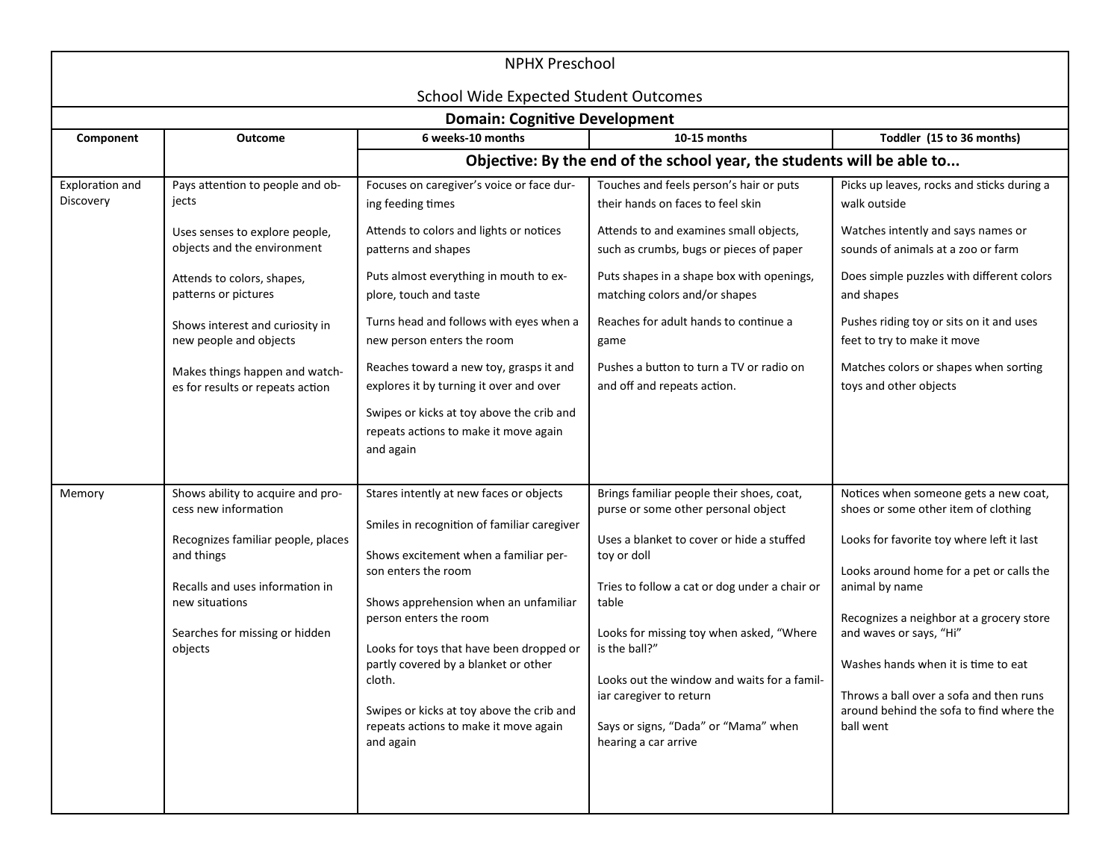| <b>NPHX Preschool</b>        |                                                                                                                                                                                                                                                                                                     |                                                                                                                                                                                                                                                                                                                                                                                                                                                                        |                                                                                                                                                                                                                                                                                                                                                                                                               |                                                                                                                                                                                                                                                                                                                                                                                                            |  |  |  |
|------------------------------|-----------------------------------------------------------------------------------------------------------------------------------------------------------------------------------------------------------------------------------------------------------------------------------------------------|------------------------------------------------------------------------------------------------------------------------------------------------------------------------------------------------------------------------------------------------------------------------------------------------------------------------------------------------------------------------------------------------------------------------------------------------------------------------|---------------------------------------------------------------------------------------------------------------------------------------------------------------------------------------------------------------------------------------------------------------------------------------------------------------------------------------------------------------------------------------------------------------|------------------------------------------------------------------------------------------------------------------------------------------------------------------------------------------------------------------------------------------------------------------------------------------------------------------------------------------------------------------------------------------------------------|--|--|--|
|                              | <b>School Wide Expected Student Outcomes</b>                                                                                                                                                                                                                                                        |                                                                                                                                                                                                                                                                                                                                                                                                                                                                        |                                                                                                                                                                                                                                                                                                                                                                                                               |                                                                                                                                                                                                                                                                                                                                                                                                            |  |  |  |
|                              | <b>Domain: Cognitive Development</b>                                                                                                                                                                                                                                                                |                                                                                                                                                                                                                                                                                                                                                                                                                                                                        |                                                                                                                                                                                                                                                                                                                                                                                                               |                                                                                                                                                                                                                                                                                                                                                                                                            |  |  |  |
| Component                    | <b>Outcome</b>                                                                                                                                                                                                                                                                                      | 6 weeks-10 months                                                                                                                                                                                                                                                                                                                                                                                                                                                      | 10-15 months                                                                                                                                                                                                                                                                                                                                                                                                  | Toddler (15 to 36 months)                                                                                                                                                                                                                                                                                                                                                                                  |  |  |  |
|                              | Objective: By the end of the school year, the students will be able to                                                                                                                                                                                                                              |                                                                                                                                                                                                                                                                                                                                                                                                                                                                        |                                                                                                                                                                                                                                                                                                                                                                                                               |                                                                                                                                                                                                                                                                                                                                                                                                            |  |  |  |
| Exploration and<br>Discovery | Pays attention to people and ob-<br>jects<br>Uses senses to explore people,<br>objects and the environment<br>Attends to colors, shapes,<br>patterns or pictures<br>Shows interest and curiosity in<br>new people and objects<br>Makes things happen and watch-<br>es for results or repeats action | Focuses on caregiver's voice or face dur-<br>ing feeding times<br>Attends to colors and lights or notices<br>patterns and shapes<br>Puts almost everything in mouth to ex-<br>plore, touch and taste<br>Turns head and follows with eyes when a<br>new person enters the room<br>Reaches toward a new toy, grasps it and<br>explores it by turning it over and over<br>Swipes or kicks at toy above the crib and<br>repeats actions to make it move again<br>and again | Touches and feels person's hair or puts<br>their hands on faces to feel skin<br>Attends to and examines small objects,<br>such as crumbs, bugs or pieces of paper<br>Puts shapes in a shape box with openings,<br>matching colors and/or shapes<br>Reaches for adult hands to continue a<br>game<br>Pushes a button to turn a TV or radio on<br>and off and repeats action.                                   | Picks up leaves, rocks and sticks during a<br>walk outside<br>Watches intently and says names or<br>sounds of animals at a zoo or farm<br>Does simple puzzles with different colors<br>and shapes<br>Pushes riding toy or sits on it and uses<br>feet to try to make it move<br>Matches colors or shapes when sorting<br>toys and other objects                                                            |  |  |  |
| Memory                       | Shows ability to acquire and pro-<br>cess new information<br>Recognizes familiar people, places<br>and things<br>Recalls and uses information in<br>new situations<br>Searches for missing or hidden<br>objects                                                                                     | Stares intently at new faces or objects<br>Smiles in recognition of familiar caregiver<br>Shows excitement when a familiar per-<br>son enters the room<br>Shows apprehension when an unfamiliar<br>person enters the room<br>Looks for toys that have been dropped or<br>partly covered by a blanket or other<br>cloth.<br>Swipes or kicks at toy above the crib and<br>repeats actions to make it move again<br>and again                                             | Brings familiar people their shoes, coat,<br>purse or some other personal object<br>Uses a blanket to cover or hide a stuffed<br>toy or doll<br>Tries to follow a cat or dog under a chair or<br>table<br>Looks for missing toy when asked, "Where<br>is the ball?"<br>Looks out the window and waits for a famil-<br>iar caregiver to return<br>Says or signs, "Dada" or "Mama" when<br>hearing a car arrive | Notices when someone gets a new coat,<br>shoes or some other item of clothing<br>Looks for favorite toy where left it last<br>Looks around home for a pet or calls the<br>animal by name<br>Recognizes a neighbor at a grocery store<br>and waves or says, "Hi"<br>Washes hands when it is time to eat<br>Throws a ball over a sofa and then runs<br>around behind the sofa to find where the<br>ball went |  |  |  |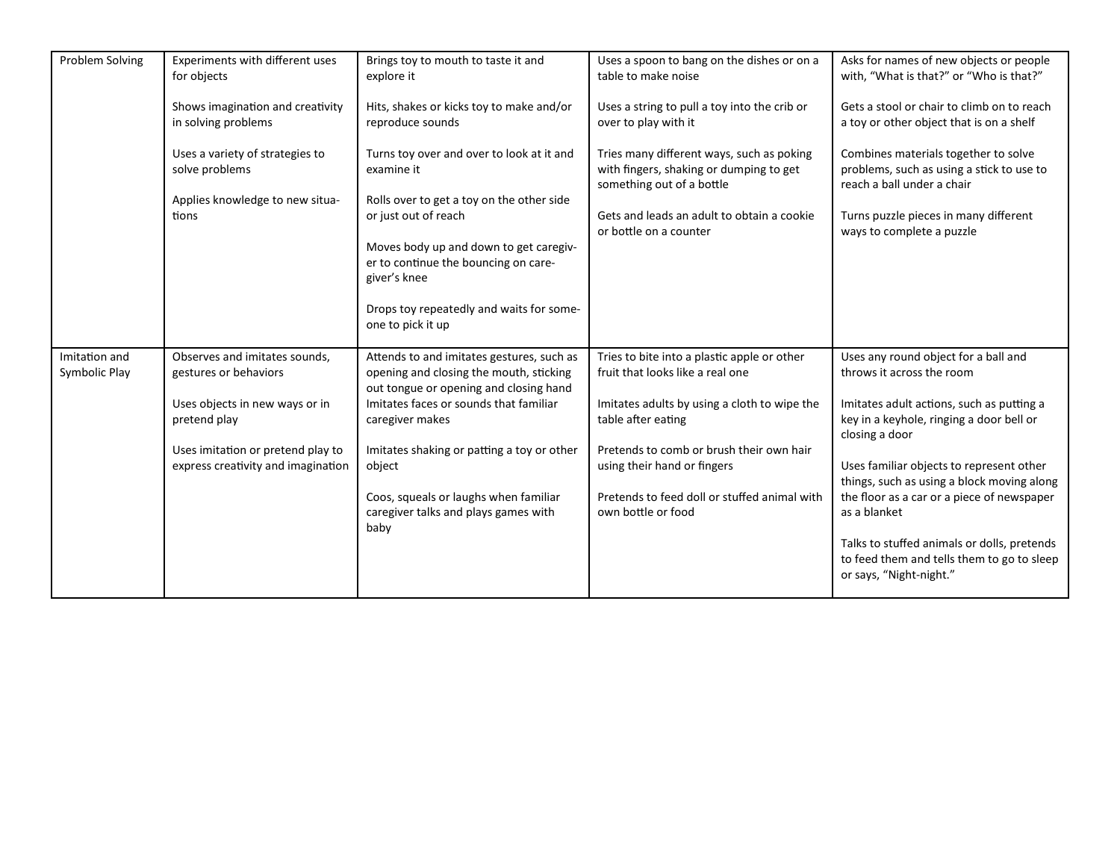| Problem Solving                | Experiments with different uses<br>for objects                          | Brings toy to mouth to taste it and<br>explore it                                                                              | Uses a spoon to bang on the dishes or on a<br>table to make noise                                                 | Asks for names of new objects or people<br>with, "What is that?" or "Who is that?"                                   |
|--------------------------------|-------------------------------------------------------------------------|--------------------------------------------------------------------------------------------------------------------------------|-------------------------------------------------------------------------------------------------------------------|----------------------------------------------------------------------------------------------------------------------|
|                                | Shows imagination and creativity<br>in solving problems                 | Hits, shakes or kicks toy to make and/or<br>reproduce sounds                                                                   | Uses a string to pull a toy into the crib or<br>over to play with it                                              | Gets a stool or chair to climb on to reach<br>a toy or other object that is on a shelf                               |
|                                | Uses a variety of strategies to<br>solve problems                       | Turns toy over and over to look at it and<br>examine it                                                                        | Tries many different ways, such as poking<br>with fingers, shaking or dumping to get<br>something out of a bottle | Combines materials together to solve<br>problems, such as using a stick to use to<br>reach a ball under a chair      |
|                                | Applies knowledge to new situa-<br>tions                                | Rolls over to get a toy on the other side<br>or just out of reach                                                              | Gets and leads an adult to obtain a cookie<br>or bottle on a counter                                              | Turns puzzle pieces in many different<br>ways to complete a puzzle                                                   |
|                                |                                                                         | Moves body up and down to get caregiv-<br>er to continue the bouncing on care-<br>giver's knee                                 |                                                                                                                   |                                                                                                                      |
|                                |                                                                         | Drops toy repeatedly and waits for some-<br>one to pick it up                                                                  |                                                                                                                   |                                                                                                                      |
| Imitation and<br>Symbolic Play | Observes and imitates sounds,<br>gestures or behaviors                  | Attends to and imitates gestures, such as<br>opening and closing the mouth, sticking<br>out tongue or opening and closing hand | Tries to bite into a plastic apple or other<br>fruit that looks like a real one                                   | Uses any round object for a ball and<br>throws it across the room                                                    |
|                                | Uses objects in new ways or in<br>pretend play                          | Imitates faces or sounds that familiar<br>caregiver makes                                                                      | Imitates adults by using a cloth to wipe the<br>table after eating                                                | Imitates adult actions, such as putting a<br>key in a keyhole, ringing a door bell or<br>closing a door              |
|                                | Uses imitation or pretend play to<br>express creativity and imagination | Imitates shaking or patting a toy or other<br>object                                                                           | Pretends to comb or brush their own hair<br>using their hand or fingers                                           | Uses familiar objects to represent other<br>things, such as using a block moving along                               |
|                                |                                                                         | Coos, squeals or laughs when familiar<br>caregiver talks and plays games with<br>baby                                          | Pretends to feed doll or stuffed animal with<br>own bottle or food                                                | the floor as a car or a piece of newspaper<br>as a blanket                                                           |
|                                |                                                                         |                                                                                                                                |                                                                                                                   | Talks to stuffed animals or dolls, pretends<br>to feed them and tells them to go to sleep<br>or says, "Night-night." |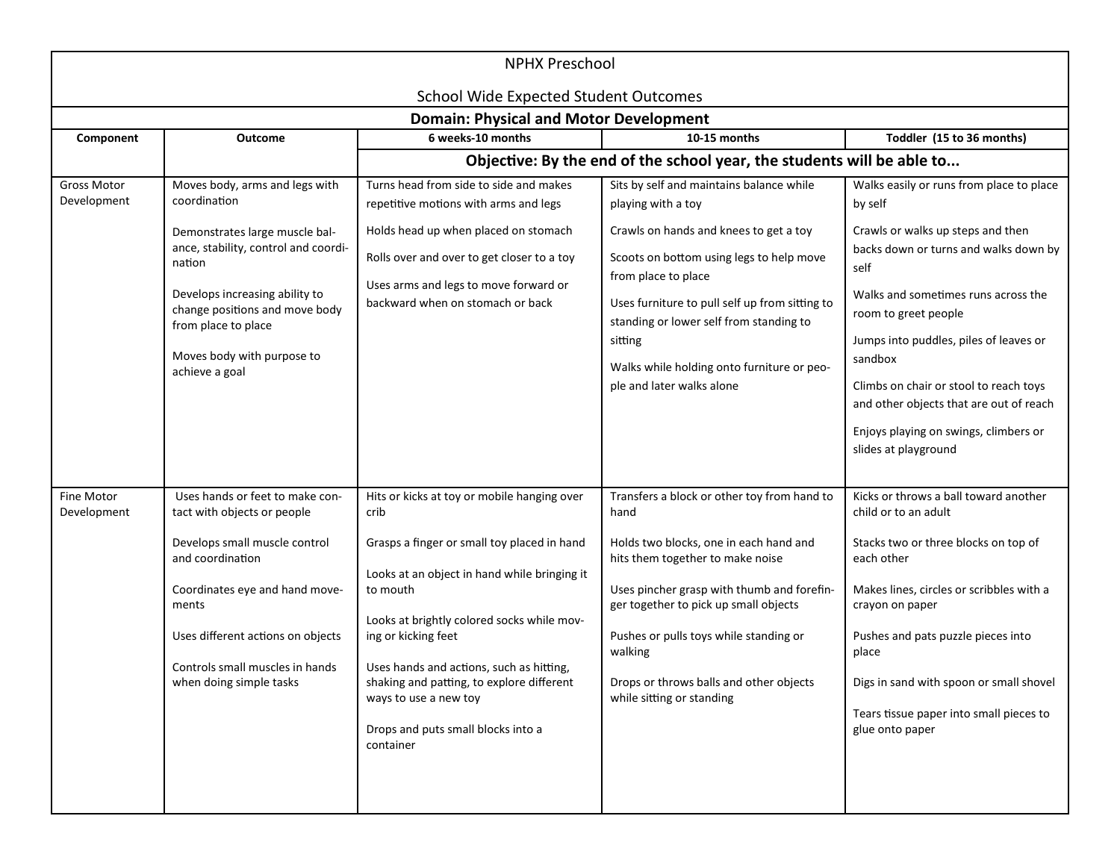| <b>NPHX Preschool</b>             |                                                                                                                                                                                                                                                                               |                                                                                                                                                                                                                                                                                                                                                                                                          |                                                                                                                                                                                                                                                                                                                                                                |                                                                                                                                                                                                                                                                                                                                                                                                                     |
|-----------------------------------|-------------------------------------------------------------------------------------------------------------------------------------------------------------------------------------------------------------------------------------------------------------------------------|----------------------------------------------------------------------------------------------------------------------------------------------------------------------------------------------------------------------------------------------------------------------------------------------------------------------------------------------------------------------------------------------------------|----------------------------------------------------------------------------------------------------------------------------------------------------------------------------------------------------------------------------------------------------------------------------------------------------------------------------------------------------------------|---------------------------------------------------------------------------------------------------------------------------------------------------------------------------------------------------------------------------------------------------------------------------------------------------------------------------------------------------------------------------------------------------------------------|
|                                   |                                                                                                                                                                                                                                                                               | <b>School Wide Expected Student Outcomes</b><br><b>Domain: Physical and Motor Development</b>                                                                                                                                                                                                                                                                                                            |                                                                                                                                                                                                                                                                                                                                                                |                                                                                                                                                                                                                                                                                                                                                                                                                     |
| Component                         | <b>Outcome</b>                                                                                                                                                                                                                                                                | 6 weeks-10 months                                                                                                                                                                                                                                                                                                                                                                                        | 10-15 months                                                                                                                                                                                                                                                                                                                                                   | Toddler (15 to 36 months)                                                                                                                                                                                                                                                                                                                                                                                           |
|                                   |                                                                                                                                                                                                                                                                               |                                                                                                                                                                                                                                                                                                                                                                                                          | Objective: By the end of the school year, the students will be able to                                                                                                                                                                                                                                                                                         |                                                                                                                                                                                                                                                                                                                                                                                                                     |
| <b>Gross Motor</b><br>Development | Moves body, arms and legs with<br>coordination<br>Demonstrates large muscle bal-<br>ance, stability, control and coordi-<br>nation<br>Develops increasing ability to<br>change positions and move body<br>from place to place<br>Moves body with purpose to<br>achieve a goal | Turns head from side to side and makes<br>repetitive motions with arms and legs<br>Holds head up when placed on stomach<br>Rolls over and over to get closer to a toy<br>Uses arms and legs to move forward or<br>backward when on stomach or back                                                                                                                                                       | Sits by self and maintains balance while<br>playing with a toy<br>Crawls on hands and knees to get a toy<br>Scoots on bottom using legs to help move<br>from place to place<br>Uses furniture to pull self up from sitting to<br>standing or lower self from standing to<br>sitting<br>Walks while holding onto furniture or peo-<br>ple and later walks alone | Walks easily or runs from place to place<br>by self<br>Crawls or walks up steps and then<br>backs down or turns and walks down by<br>self<br>Walks and sometimes runs across the<br>room to greet people<br>Jumps into puddles, piles of leaves or<br>sandbox<br>Climbs on chair or stool to reach toys<br>and other objects that are out of reach<br>Enjoys playing on swings, climbers or<br>slides at playground |
| Fine Motor<br>Development         | Uses hands or feet to make con-<br>tact with objects or people<br>Develops small muscle control<br>and coordination<br>Coordinates eye and hand move-<br>ments<br>Uses different actions on objects<br>Controls small muscles in hands<br>when doing simple tasks             | Hits or kicks at toy or mobile hanging over<br>crib<br>Grasps a finger or small toy placed in hand<br>Looks at an object in hand while bringing it<br>to mouth<br>Looks at brightly colored socks while mov-<br>ing or kicking feet<br>Uses hands and actions, such as hitting,<br>shaking and patting, to explore different<br>ways to use a new toy<br>Drops and puts small blocks into a<br>container | Transfers a block or other toy from hand to<br>hand<br>Holds two blocks, one in each hand and<br>hits them together to make noise<br>Uses pincher grasp with thumb and forefin-<br>ger together to pick up small objects<br>Pushes or pulls toys while standing or<br>walking<br>Drops or throws balls and other objects<br>while sitting or standing          | Kicks or throws a ball toward another<br>child or to an adult<br>Stacks two or three blocks on top of<br>each other<br>Makes lines, circles or scribbles with a<br>crayon on paper<br>Pushes and pats puzzle pieces into<br>place<br>Digs in sand with spoon or small shovel<br>Tears tissue paper into small pieces to<br>glue onto paper                                                                          |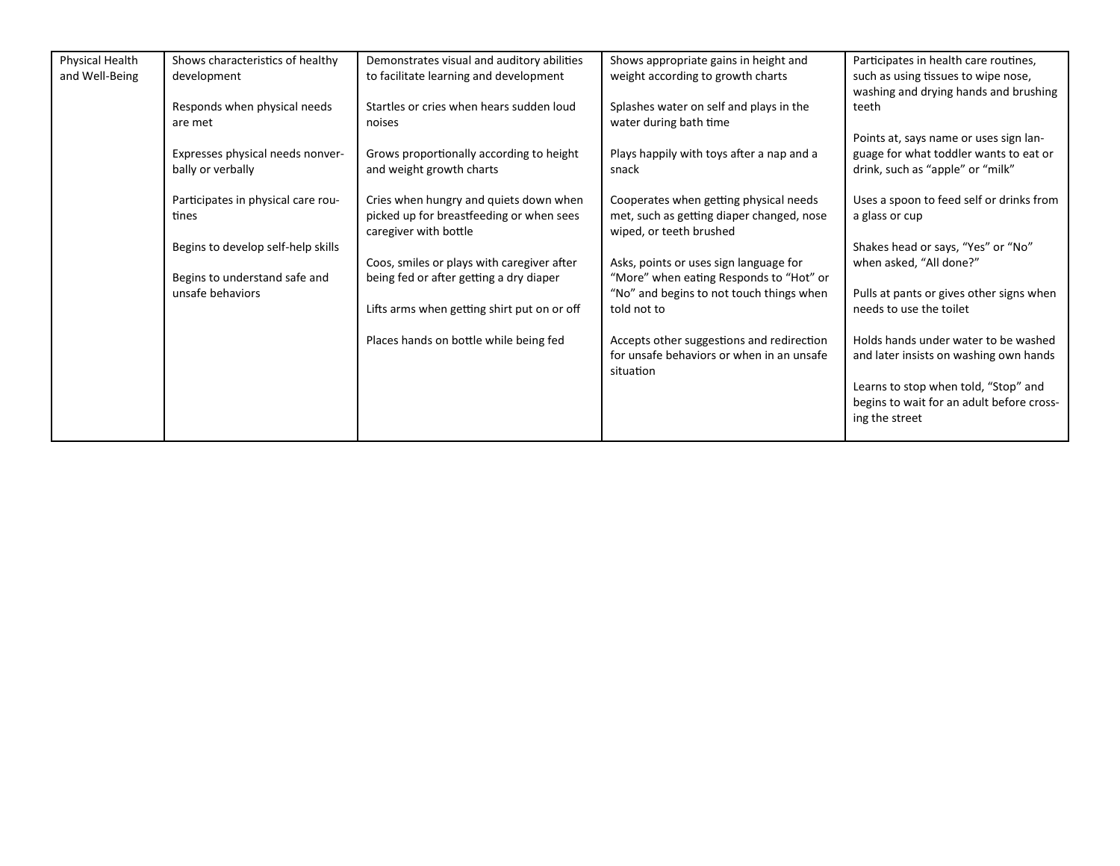| Physical Health | Shows characteristics of healthy                  | Demonstrates visual and auditory abilities  | Shows appropriate gains in height and                                               | Participates in health care routines,                               |
|-----------------|---------------------------------------------------|---------------------------------------------|-------------------------------------------------------------------------------------|---------------------------------------------------------------------|
| and Well-Being  | development                                       | to facilitate learning and development      | weight according to growth charts                                                   | such as using tissues to wipe nose,                                 |
|                 |                                                   |                                             |                                                                                     | washing and drying hands and brushing                               |
|                 | Responds when physical needs                      | Startles or cries when hears sudden loud    | Splashes water on self and plays in the                                             | teeth                                                               |
|                 | are met                                           | noises                                      | water during bath time                                                              |                                                                     |
|                 |                                                   |                                             |                                                                                     | Points at, says name or uses sign lan-                              |
|                 | Expresses physical needs nonver-                  | Grows proportionally according to height    | Plays happily with toys after a nap and a                                           | guage for what toddler wants to eat or                              |
|                 | bally or verbally                                 | and weight growth charts                    | snack                                                                               | drink, such as "apple" or "milk"                                    |
|                 |                                                   |                                             |                                                                                     |                                                                     |
|                 | Participates in physical care rou-                | Cries when hungry and quiets down when      | Cooperates when getting physical needs                                              | Uses a spoon to feed self or drinks from                            |
|                 | tines                                             | picked up for breastfeeding or when sees    | met, such as getting diaper changed, nose                                           | a glass or cup                                                      |
|                 |                                                   | caregiver with bottle                       | wiped, or teeth brushed                                                             |                                                                     |
|                 | Begins to develop self-help skills                |                                             |                                                                                     | Shakes head or says, "Yes" or "No"                                  |
|                 |                                                   | Coos, smiles or plays with caregiver after  | Asks, points or uses sign language for                                              | when asked, "All done?"                                             |
|                 | Begins to understand safe and<br>unsafe behaviors | being fed or after getting a dry diaper     | "More" when eating Responds to "Hot" or<br>"No" and begins to not touch things when |                                                                     |
|                 |                                                   | Lifts arms when getting shirt put on or off | told not to                                                                         | Pulls at pants or gives other signs when<br>needs to use the toilet |
|                 |                                                   |                                             |                                                                                     |                                                                     |
|                 |                                                   | Places hands on bottle while being fed      | Accepts other suggestions and redirection                                           | Holds hands under water to be washed                                |
|                 |                                                   |                                             | for unsafe behaviors or when in an unsafe                                           | and later insists on washing own hands                              |
|                 |                                                   |                                             | situation                                                                           |                                                                     |
|                 |                                                   |                                             |                                                                                     | Learns to stop when told, "Stop" and                                |
|                 |                                                   |                                             |                                                                                     | begins to wait for an adult before cross-                           |
|                 |                                                   |                                             |                                                                                     | ing the street                                                      |
|                 |                                                   |                                             |                                                                                     |                                                                     |